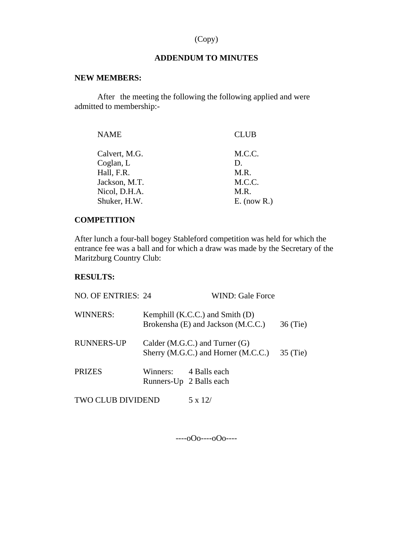#### (Copy)

#### **ADDENDUM TO MINUTES**

#### **NEW MEMBERS:**

After the meeting the following the following applied and were admitted to membership:-

| <b>NAME</b>   | <b>CLUB</b>   |  |
|---------------|---------------|--|
| Calvert, M.G. | M.C.C.        |  |
| Coglan, L     | D.            |  |
| Hall, F.R.    | M.R.          |  |
| Jackson, M.T. | M.C.C.        |  |
| Nicol, D.H.A. | M.R.          |  |
| Shuker, H.W.  | $E.$ (now R.) |  |

### **COMPETITION**

After lunch a four-ball bogey Stableford competition was held for which the entrance fee was a ball and for which a draw was made by the Secretary of the Maritzburg Country Club:

#### **RESULTS:**

| NO. OF ENTRIES: 24 |                                                  | <b>WIND: Gale Force</b>                                                   |            |
|--------------------|--------------------------------------------------|---------------------------------------------------------------------------|------------|
| WINNERS:           |                                                  | Kemphill $(K.C.C.)$ and Smith $(D)$<br>Brokensha (E) and Jackson (M.C.C.) | 36 (Tie)   |
| RUNNERS-UP         |                                                  | Calder (M.G.C.) and Turner $(G)$<br>Sherry (M.G.C.) and Horner (M.C.C.)   | $35$ (Tie) |
| <b>PRIZES</b>      | Winners: 4 Balls each<br>Runners-Up 2 Balls each |                                                                           |            |
| TWO CLUB DIVIDEND  |                                                  | $5 \times 12'$                                                            |            |

----oOo----oOo----